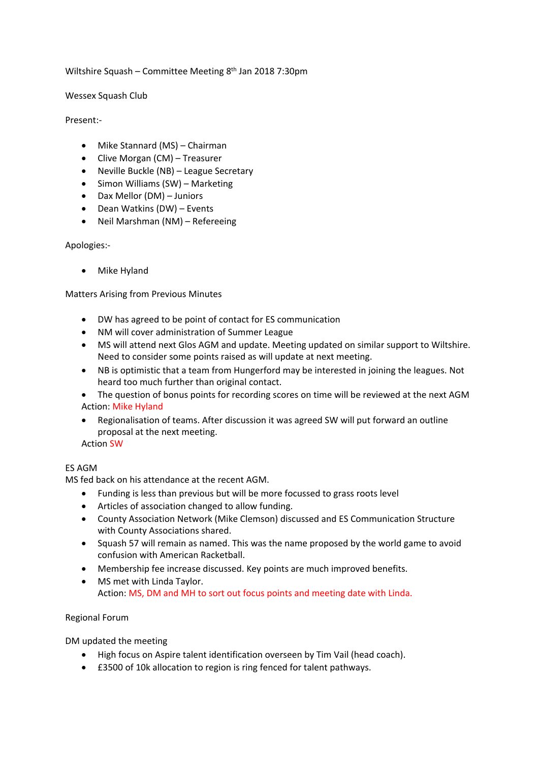## Wiltshire Squash – Committee Meeting  $8<sup>th</sup>$  Jan 2018 7:30pm

### Wessex Squash Club

### Present:-

- Mike Stannard (MS) Chairman
- Clive Morgan (CM) Treasurer
- Neville Buckle (NB) League Secretary
- Simon Williams (SW) Marketing
- Dax Mellor (DM) Juniors
- $\bullet$  Dean Watkins (DW) Events
- Neil Marshman (NM) Refereeing

## Apologies:-

Mike Hyland

# **Matters Arising from Previous Minutes**

- DW has agreed to be point of contact for ES communication
- NM will cover administration of Summer League
- MS will attend next Glos AGM and update. Meeting updated on similar support to Wiltshire. Need to consider some points raised as will update at next meeting.
- NB is optimistic that a team from Hungerford may be interested in joining the leagues. Not heard too much further than original contact.

The question of bonus points for recording scores on time will be reviewed at the next AGM Action: Mike Hyland

• Regionalisation of teams. After discussion it was agreed SW will put forward an outline proposal at the next meeting.

**Action SW** 

# **ES AGM**

MS fed back on his attendance at the recent AGM.

- Funding is less than previous but will be more focussed to grass roots level
- Articles of association changed to allow funding.
- County Association Network (Mike Clemson) discussed and ES Communication Structure with County Associations shared.
- Squash 57 will remain as named. This was the name proposed by the world game to avoid confusion with American Racketball.
- Membership fee increase discussed. Key points are much improved benefits.
- MS met with Linda Taylor. Action: MS, DM and MH to sort out focus points and meeting date with Linda.

Regional Forum

DM updated the meeting

- High focus on Aspire talent identification overseen by Tim Vail (head coach).
- £3500 of 10k allocation to region is ring fenced for talent pathways.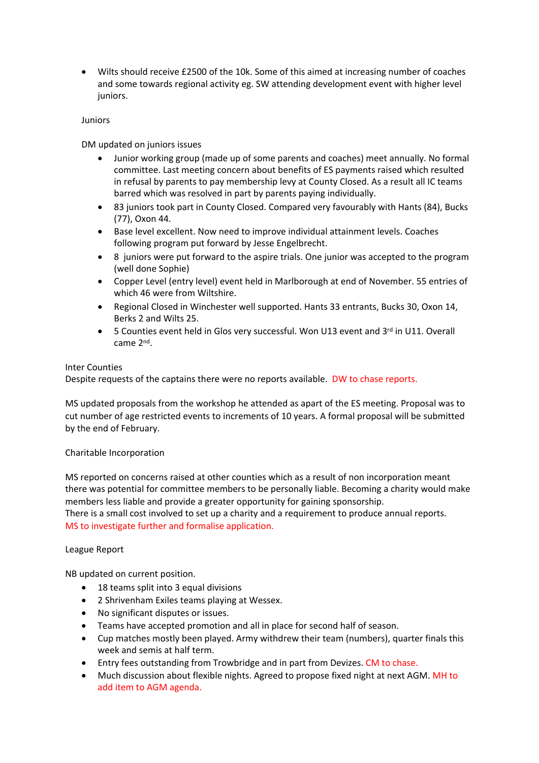• Wilts should receive £2500 of the 10k. Some of this aimed at increasing number of coaches and some towards regional activity eg. SW attending development event with higher level juniors.

## Juniors

DM updated on juniors issues

- Junior working group (made up of some parents and coaches) meet annually. No formal committee. Last meeting concern about benefits of ES payments raised which resulted in refusal by parents to pay membership levy at County Closed. As a result all IC teams barred which was resolved in part by parents paying individually.
- 83 juniors took part in County Closed. Compared very favourably with Hants (84), Bucks (77), Oxon 44.
- Base level excellent. Now need to improve individual attainment levels. Coaches following program put forward by Jesse Engelbrecht.
- 8 juniors were put forward to the aspire trials. One junior was accepted to the program (well done Sophie)
- Copper Level (entry level) event held in Marlborough at end of November. 55 entries of which 46 were from Wiltshire.
- Regional Closed in Winchester well supported. Hants 33 entrants, Bucks 30, Oxon 14, Berks 2 and Wilts 25.
- 5 Counties event held in Glos very successful. Won U13 event and  $3^{rd}$  in U11. Overall came 2<sup>nd</sup>.

## Inter Counties

Despite requests of the captains there were no reports available. DW to chase reports.

MS updated proposals from the workshop he attended as apart of the ES meeting. Proposal was to cut number of age restricted events to increments of 10 years. A formal proposal will be submitted by the end of February.

### Charitable Incorporation

MS reported on concerns raised at other counties which as a result of non incorporation meant there was potential for committee members to be personally liable. Becoming a charity would make members less liable and provide a greater opportunity for gaining sponsorship.

There is a small cost involved to set up a charity and a requirement to produce annual reports. MS to investigate further and formalise application.

# League Report

NB updated on current position.

- 18 teams split into 3 equal divisions
- 2 Shrivenham Exiles teams playing at Wessex.
- No significant disputes or issues.
- Teams have accepted promotion and all in place for second half of season.
- Cup matches mostly been played. Army withdrew their team (numbers), quarter finals this week and semis at half term.
- Entry fees outstanding from Trowbridge and in part from Devizes. CM to chase.
- Much discussion about flexible nights. Agreed to propose fixed night at next AGM. MH to add item to AGM agenda.